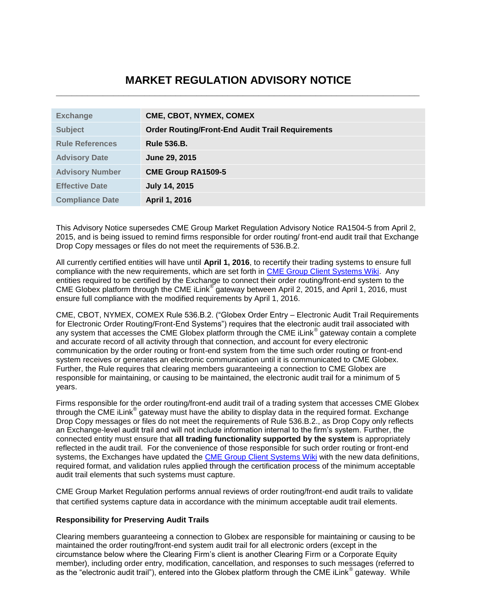# **MARKET REGULATION ADVISORY NOTICE \_\_\_\_\_\_\_\_\_\_\_\_\_\_\_\_\_\_\_\_\_\_\_\_\_\_\_\_\_\_\_\_\_\_\_\_\_\_\_\_\_\_\_\_\_\_\_\_\_\_\_\_\_\_\_\_\_\_\_\_\_\_\_\_\_\_\_\_\_\_**

| <b>Exchange</b>        | CME, CBOT, NYMEX, COMEX                                 |
|------------------------|---------------------------------------------------------|
| <b>Subject</b>         | <b>Order Routing/Front-End Audit Trail Requirements</b> |
| <b>Rule References</b> | <b>Rule 536.B.</b>                                      |
| <b>Advisory Date</b>   | June 29, 2015                                           |
| <b>Advisory Number</b> | <b>CME Group RA1509-5</b>                               |
| <b>Effective Date</b>  | <b>July 14, 2015</b>                                    |
| <b>Compliance Date</b> | April 1, 2016                                           |

This Advisory Notice supersedes CME Group Market Regulation Advisory Notice RA1504-5 from April 2, 2015, and is being issued to remind firms responsible for order routing/ front-end audit trail that Exchange Drop Copy messages or files do not meet the requirements of 536.B.2.

All currently certified entities will have until **April 1, 2016**, to recertify their trading systems to ensure full compliance with the new requirements, which are set forth in [CME Group Client Systems Wiki.](http://www.cmegroup.com/confluence/display/EPICSANDBOX/CME+Globex+Front-End+Audit+Trail+Requirements) Any entities required to be certified by the Exchange to connect their order routing/front-end system to the CME Globex platform through the CME iLink® gateway between April 2, 2015, and April 1, 2016, must ensure full compliance with the modified requirements by April 1, 2016.

CME, CBOT, NYMEX, COMEX Rule 536.B.2. ("Globex Order Entry – Electronic Audit Trail Requirements for Electronic Order Routing/Front-End Systems") requires that the electronic audit trail associated with any system that accesses the CME Globex platform through the CME iLink® gateway contain a complete and accurate record of all activity through that connection, and account for every electronic communication by the order routing or front-end system from the time such order routing or front-end system receives or generates an electronic communication until it is communicated to CME Globex. Further, the Rule requires that clearing members guaranteeing a connection to CME Globex are responsible for maintaining, or causing to be maintained, the electronic audit trail for a minimum of 5 years.

Firms responsible for the order routing/front-end audit trail of a trading system that accesses CME Globex through the CME iLink® gateway must have the ability to display data in the required format. Exchange Drop Copy messages or files do not meet the requirements of Rule 536.B.2., as Drop Copy only reflects an Exchange-level audit trail and will not include information internal to the firm's system. Further, the connected entity must ensure that **all trading functionality supported by the system** is appropriately reflected in the audit trail. For the convenience of those responsible for such order routing or front-end systems, the Exchanges have updated the [CME Group Client Systems Wiki](http://www.cmegroup.com/confluence/display/EPICSANDBOX/CME+Globex+Front-End+Audit+Trail+Requirements) with the new data definitions, required format, and validation rules applied through the certification process of the minimum acceptable audit trail elements that such systems must capture.

CME Group Market Regulation performs annual reviews of order routing/front-end audit trails to validate that certified systems capture data in accordance with the minimum acceptable audit trail elements.

## **Responsibility for Preserving Audit Trails**

Clearing members guaranteeing a connection to Globex are responsible for maintaining or causing to be maintained the order routing/front-end system audit trail for all electronic orders (except in the circumstance below where the Clearing Firm's client is another Clearing Firm or a Corporate Equity member), including order entry, modification, cancellation, and responses to such messages (referred to as the "electronic audit trail"), entered into the Globex platform through the CME iLink® gateway. While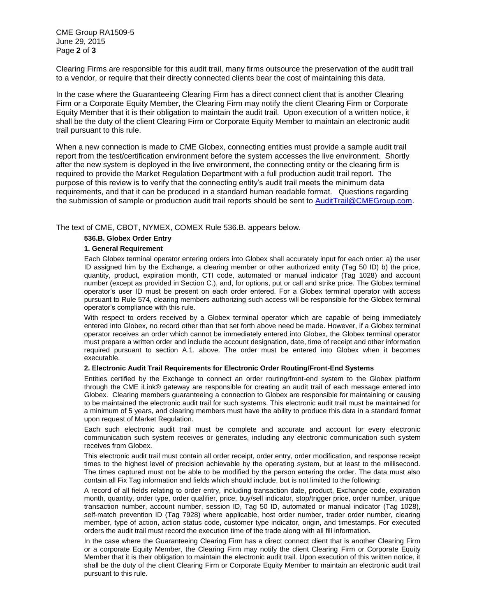CME Group RA1509-5 June 29, 2015 Page **2** of **3**

Clearing Firms are responsible for this audit trail, many firms outsource the preservation of the audit trail to a vendor, or require that their directly connected clients bear the cost of maintaining this data.

In the case where the Guaranteeing Clearing Firm has a direct connect client that is another Clearing Firm or a Corporate Equity Member, the Clearing Firm may notify the client Clearing Firm or Corporate Equity Member that it is their obligation to maintain the audit trail. Upon execution of a written notice, it shall be the duty of the client Clearing Firm or Corporate Equity Member to maintain an electronic audit trail pursuant to this rule.

When a new connection is made to CME Globex, connecting entities must provide a sample audit trail report from the test/certification environment before the system accesses the live environment. Shortly after the new system is deployed in the live environment, the connecting entity or the clearing firm is required to provide the Market Regulation Department with a full production audit trail report. The purpose of this review is to verify that the connecting entity's audit trail meets the minimum data requirements, and that it can be produced in a standard human readable format. Questions regarding the submission of sample or production audit trail reports should be sent to [AuditTrail@CMEGroup.com.](mailto:AuditTrail@CMEGroup.com)

The text of CME, CBOT, NYMEX, COMEX Rule 536.B. appears below.

#### **536.B. Globex Order Entry**

#### **1. General Requirement**

Each Globex terminal operator entering orders into Globex shall accurately input for each order: a) the user ID assigned him by the Exchange, a clearing member or other authorized entity (Tag 50 ID) b) the price, quantity, product, expiration month, CTI code, automated or manual indicator (Tag 1028) and account number (except as provided in Section C.), and, for options, put or call and strike price. The Globex terminal operator's user ID must be present on each order entered. For a Globex terminal operator with access pursuant to Rule 574, clearing members authorizing such access will be responsible for the Globex terminal operator's compliance with this rule.

With respect to orders received by a Globex terminal operator which are capable of being immediately entered into Globex, no record other than that set forth above need be made. However, if a Globex terminal operator receives an order which cannot be immediately entered into Globex, the Globex terminal operator must prepare a written order and include the account designation, date, time of receipt and other information required pursuant to section A.1. above. The order must be entered into Globex when it becomes executable.

### **2. Electronic Audit Trail Requirements for Electronic Order Routing/Front-End Systems**

Entities certified by the Exchange to connect an order routing/front-end system to the Globex platform through the CME iLink® gateway are responsible for creating an audit trail of each message entered into Globex. Clearing members guaranteeing a connection to Globex are responsible for maintaining or causing to be maintained the electronic audit trail for such systems. This electronic audit trail must be maintained for a minimum of 5 years, and clearing members must have the ability to produce this data in a standard format upon request of Market Regulation.

Each such electronic audit trail must be complete and accurate and account for every electronic communication such system receives or generates, including any electronic communication such system receives from Globex.

This electronic audit trail must contain all order receipt, order entry, order modification, and response receipt times to the highest level of precision achievable by the operating system, but at least to the millisecond. The times captured must not be able to be modified by the person entering the order. The data must also contain all Fix Tag information and fields which should include, but is not limited to the following:

A record of all fields relating to order entry, including transaction date, product, Exchange code, expiration month, quantity, order type, order qualifier, price, buy/sell indicator, stop/trigger price, order number, unique transaction number, account number, session ID, Tag 50 ID, automated or manual indicator (Tag 1028), self-match prevention ID (Tag 7928) where applicable, host order number, trader order number, clearing member, type of action, action status code, customer type indicator, origin, and timestamps. For executed orders the audit trail must record the execution time of the trade along with all fill information.

In the case where the Guaranteeing Clearing Firm has a direct connect client that is another Clearing Firm or a corporate Equity Member, the Clearing Firm may notify the client Clearing Firm or Corporate Equity Member that it is their obligation to maintain the electronic audit trail. Upon execution of this written notice, it shall be the duty of the client Clearing Firm or Corporate Equity Member to maintain an electronic audit trail pursuant to this rule.